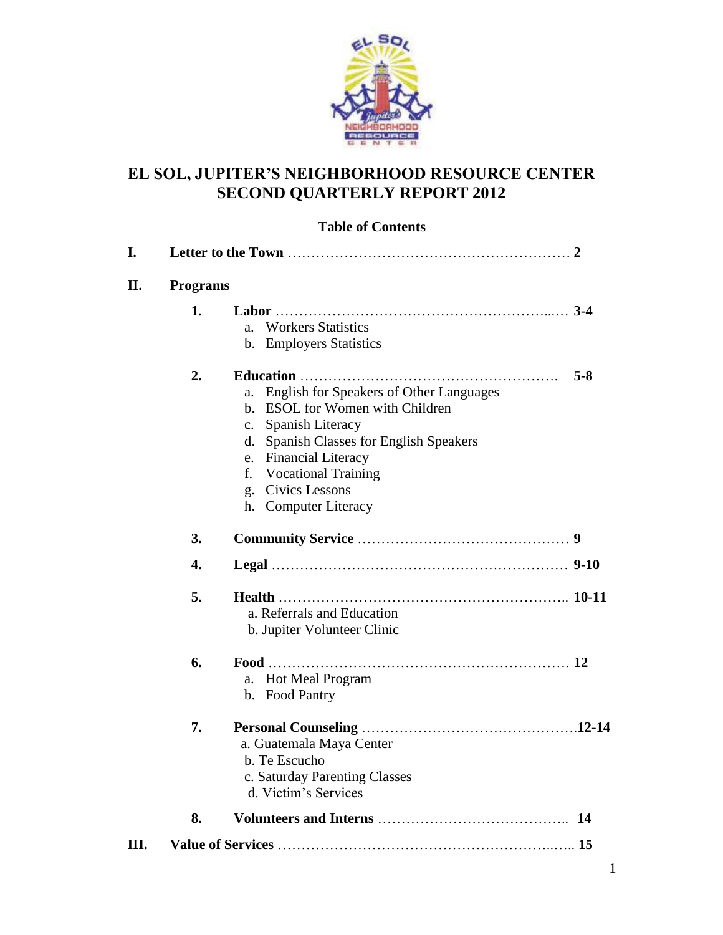

#### **EL SOL, JUPITER'S NEIGHBORHOOD RESOURCE CENTER SECOND QUARTERLY REPORT 2012**

#### **Table of Contents**

| I.   |                 |                                                                                                                                                                                                                                                                                          |         |
|------|-----------------|------------------------------------------------------------------------------------------------------------------------------------------------------------------------------------------------------------------------------------------------------------------------------------------|---------|
| II.  | <b>Programs</b> |                                                                                                                                                                                                                                                                                          |         |
|      | 1.              | <b>Workers Statistics</b><br>a.<br>b. Employers Statistics                                                                                                                                                                                                                               |         |
|      | 2.              | <b>English for Speakers of Other Languages</b><br>a.<br>ESOL for Women with Children<br>h.<br>Spanish Literacy<br>$\mathbf{c}$ .<br>Spanish Classes for English Speakers<br>d.<br>e. Financial Literacy<br><b>Vocational Training</b><br>f.<br>g. Civics Lessons<br>h. Computer Literacy | $5 - 8$ |
|      | 3.              |                                                                                                                                                                                                                                                                                          |         |
|      | 4.              |                                                                                                                                                                                                                                                                                          |         |
|      | 5.              | a. Referrals and Education<br>b. Jupiter Volunteer Clinic                                                                                                                                                                                                                                |         |
|      | 6.              | a. Hot Meal Program<br>b. Food Pantry                                                                                                                                                                                                                                                    |         |
|      | 7.              | a. Guatemala Maya Center<br>b. Te Escucho<br>c. Saturday Parenting Classes<br>d. Victim's Services                                                                                                                                                                                       |         |
|      | 8.              |                                                                                                                                                                                                                                                                                          |         |
| III. |                 |                                                                                                                                                                                                                                                                                          |         |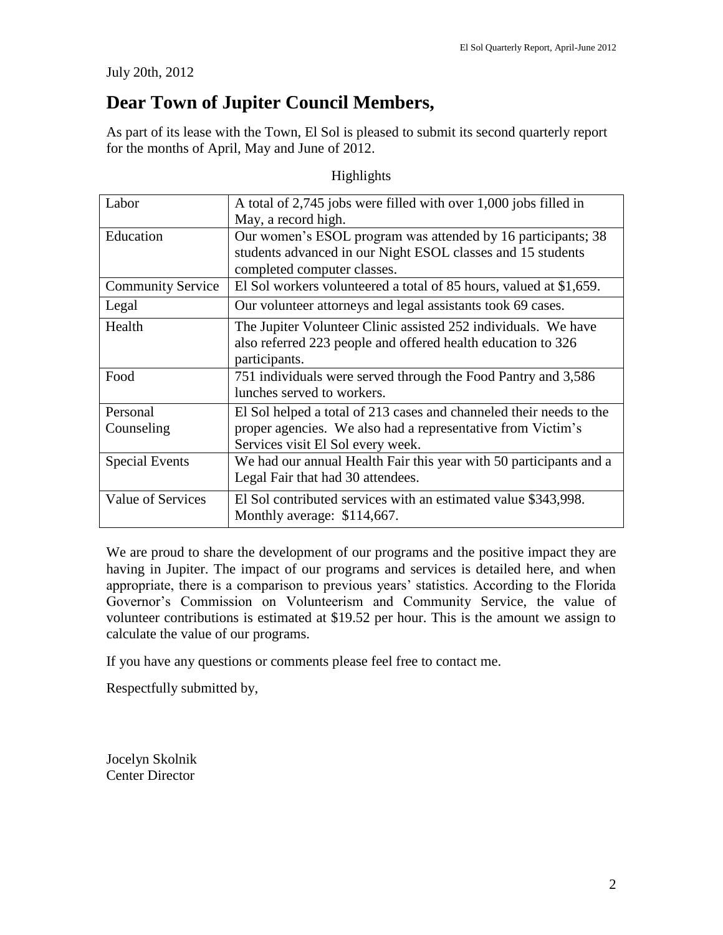July 20th, 2012

### **Dear Town of Jupiter Council Members,**

As part of its lease with the Town, El Sol is pleased to submit its second quarterly report for the months of April, May and June of 2012.

Highlights

| Labor                    | A total of 2,745 jobs were filled with over 1,000 jobs filled in    |
|--------------------------|---------------------------------------------------------------------|
|                          | May, a record high.                                                 |
| Education                | Our women's ESOL program was attended by 16 participants; 38        |
|                          | students advanced in our Night ESOL classes and 15 students         |
|                          | completed computer classes.                                         |
| <b>Community Service</b> | El Sol workers volunteered a total of 85 hours, valued at \$1,659.  |
| Legal                    | Our volunteer attorneys and legal assistants took 69 cases.         |
| Health                   | The Jupiter Volunteer Clinic assisted 252 individuals. We have      |
|                          | also referred 223 people and offered health education to 326        |
|                          | participants.                                                       |
| Food                     | 751 individuals were served through the Food Pantry and 3,586       |
|                          | lunches served to workers.                                          |
| Personal                 | El Sol helped a total of 213 cases and channeled their needs to the |
| Counseling               | proper agencies. We also had a representative from Victim's         |
|                          | Services visit El Sol every week.                                   |
| <b>Special Events</b>    | We had our annual Health Fair this year with 50 participants and a  |
|                          | Legal Fair that had 30 attendees.                                   |
| <b>Value of Services</b> | El Sol contributed services with an estimated value \$343,998.      |
|                          | Monthly average: \$114,667.                                         |

We are proud to share the development of our programs and the positive impact they are having in Jupiter. The impact of our programs and services is detailed here, and when appropriate, there is a comparison to previous years' statistics. According to the Florida Governor's Commission on Volunteerism and Community Service, the value of volunteer contributions is estimated at \$19.52 per hour. This is the amount we assign to calculate the value of our programs.

If you have any questions or comments please feel free to contact me.

Respectfully submitted by,

Jocelyn Skolnik Center Director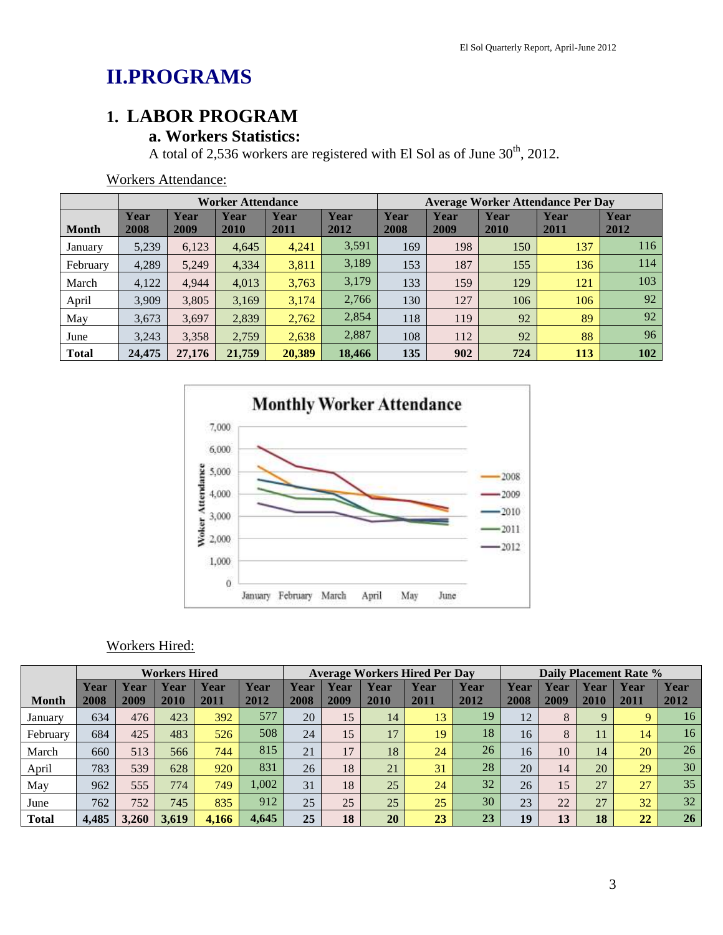# **II.PROGRAMS**

### **1. LABOR PROGRAM**

### **a. Workers Statistics:**

A total of 2,536 workers are registered with El Sol as of June  $30<sup>th</sup>$ , 2012.

|              | <b>Worker Attendance</b> |              |              |              |              |              | <b>Average Worker Attendance Per Day</b> |              |              |              |
|--------------|--------------------------|--------------|--------------|--------------|--------------|--------------|------------------------------------------|--------------|--------------|--------------|
| <b>Month</b> | Year<br>2008             | Year<br>2009 | Year<br>2010 | Year<br>2011 | Year<br>2012 | Year<br>2008 | Year<br>2009                             | Year<br>2010 | Year<br>2011 | Year<br>2012 |
| January      | 5,239                    | 6,123        | 4,645        | 4,241        | 3,591        | 169          | 198                                      | 150          | 137          | 116          |
| February     | 4,289                    | 5,249        | 4,334        | 3,811        | 3,189        | 153          | 187                                      | 155          | 136          | 114          |
| March        | 4,122                    | 4,944        | 4,013        | 3,763        | 3,179        | 133          | 159                                      | 129          | 121          | 103          |
| April        | 3,909                    | 3,805        | 3,169        | 3,174        | 2,766        | 130          | 127                                      | 106          | 106          | 92           |
| May          | 3,673                    | 3,697        | 2,839        | 2,762        | 2,854        | 118          | 119                                      | 92           | 89           | 92           |
| June         | 3,243                    | 3,358        | 2,759        | 2,638        | 2,887        | 108          | 112                                      | 92           | 88           | 96           |
| <b>Total</b> | 24,475                   | 27,176       | 21,759       | 20,389       | 18,466       | 135          | 902                                      | 724          | <b>113</b>   | 102          |

Workers Attendance:



#### Workers Hired:

|              |              | <b>Workers Hired</b> |              |              |              |              | <b>Average Workers Hired Per Day</b> |              |                     |              | <b>Daily Placement Rate %</b> |              |              |                 |              |
|--------------|--------------|----------------------|--------------|--------------|--------------|--------------|--------------------------------------|--------------|---------------------|--------------|-------------------------------|--------------|--------------|-----------------|--------------|
| <b>Month</b> | Year<br>2008 | Year<br>2009         | Year<br>2010 | Year<br>2011 | Year<br>2012 | Year<br>2008 | Year<br>2009                         | Year<br>2010 | <b>Year</b><br>2011 | Year<br>2012 | Year<br>2008                  | Year<br>2009 | Year<br>2010 | Year<br>2011    | Year<br>2012 |
| January      | 634          | 476                  | 423          | 392          | 577          | 20           | 15 <sub>1</sub>                      | 14           | 13                  | 19           | 12                            | 8            | 9            | Q               | 16           |
| February     | 684          | 425                  | 483          | 526          | 508          | 24           | 15                                   | 17           | 19                  | 18           | 16                            | 8            | 11           | 14              | 16           |
| March        | 660          | 513                  | 566          | 744          | 815          | 21           | 17                                   | 18           | 24                  | 26           | 16                            | 10           | 14           | <b>20</b>       | 26           |
| April        | 783          | 539                  | 628          | 920          | 831          | 26           | 18                                   | 21           | 31                  | 28           | 20                            | 14           | 20           | 29              | 30           |
| May          | 962          | 555                  | 774          | 749          | 1,002        | 31           | 18                                   | 25           | 24                  | 32           | 26                            | 15           | 27           | 27              | 35           |
| June         | 762          | 752                  | 745          | 835          | 912          | 25           | 25                                   | 25           | 25                  | 30           | 23                            | 22           | 27           | 32              | 32           |
| <b>Total</b> | 4,485        | 3.260                | 3,619        | 4,166        | 4,645        | 25           | 18                                   | 20           | 23                  | 23           | 19                            | 13           | 18           | $\overline{22}$ | <b>26</b>    |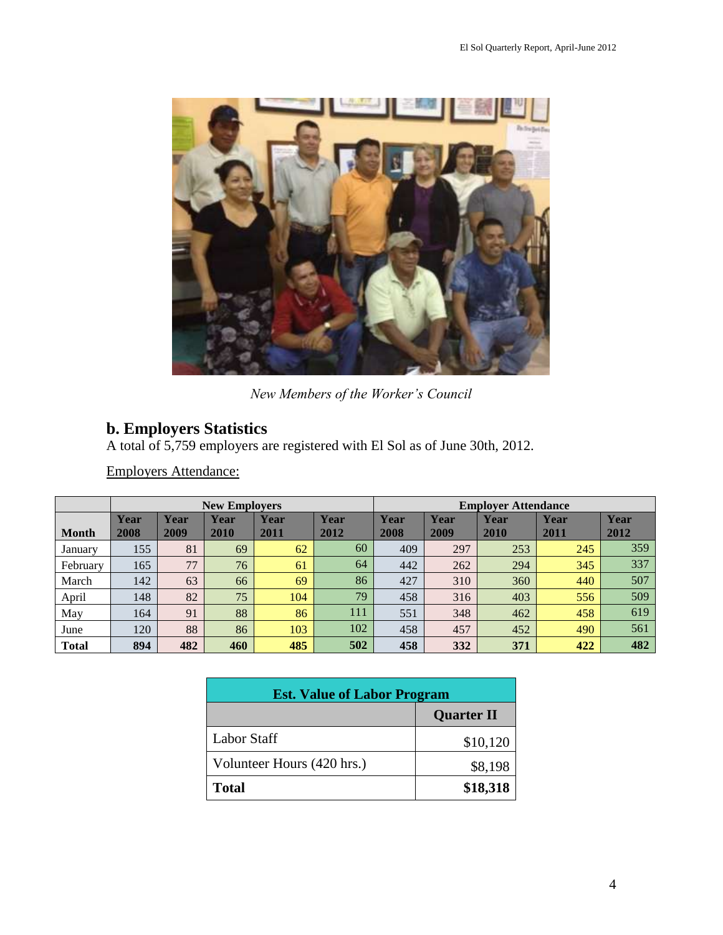

*New Members of the Worker's Council*

#### **b. Employers Statistics**

A total of 5,759 employers are registered with El Sol as of June 30th, 2012.

Employers Attendance:

|              |              |              | <b>New Employers</b> |              |              | <b>Employer Attendance</b> |              |              |                     |              |
|--------------|--------------|--------------|----------------------|--------------|--------------|----------------------------|--------------|--------------|---------------------|--------------|
| <b>Month</b> | Year<br>2008 | Year<br>2009 | Year<br>2010         | Year<br>2011 | Year<br>2012 | Year<br>2008               | Year<br>2009 | Year<br>2010 | <b>Year</b><br>2011 | Year<br>2012 |
| January      | 155          | 81           | 69                   | 62           | 60           | 409                        | 297          | 253          | 245                 | 359          |
| February     | 165          | 77           | 76                   | 61           | 64           | 442                        | 262          | 294          | 345                 | 337          |
| March        | 142          | 63           | 66                   | 69           | 86           | 427                        | 310          | 360          | 440                 | 507          |
| April        | 148          | 82           | 75                   | 104          | 79           | 458                        | 316          | 403          | 556                 | 509          |
| May          | 164          | 91           | 88                   | 86           | 111          | 551                        | 348          | 462          | 458                 | 619          |
| June         | 120          | 88           | 86                   | 103          | 102          | 458                        | 457          | 452          | 490                 | 561          |
| <b>Total</b> | 894          | 482          | 460                  | 485          | 502          | 458                        | 332          | 371          | 422                 | 482          |

| <b>Est. Value of Labor Program</b> |                   |  |  |  |
|------------------------------------|-------------------|--|--|--|
|                                    | <b>Quarter II</b> |  |  |  |
| <b>Labor Staff</b>                 | \$10,120          |  |  |  |
| Volunteer Hours (420 hrs.)         | \$8,198           |  |  |  |
| <b>Total</b>                       | \$18,318          |  |  |  |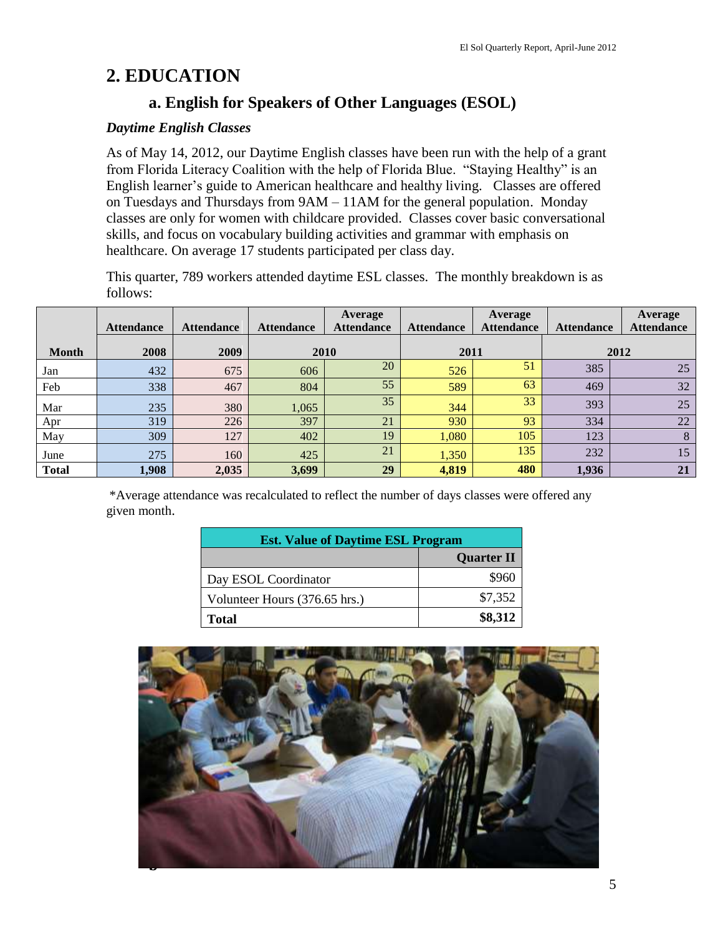### **2. EDUCATION**

### **a. English for Speakers of Other Languages (ESOL)**

#### *Daytime English Classes*

As of May 14, 2012, our Daytime English classes have been run with the help of a grant from Florida Literacy Coalition with the help of Florida Blue. "Staying Healthy" is an English learner's guide to American healthcare and healthy living. Classes are offered on Tuesdays and Thursdays from 9AM – 11AM for the general population. Monday classes are only for women with childcare provided. Classes cover basic conversational skills, and focus on vocabulary building activities and grammar with emphasis on healthcare. On average 17 students participated per class day.

This quarter, 789 workers attended daytime ESL classes. The monthly breakdown is as follows:

|              | <b>Attendance</b> | <b>Attendance</b> | <b>Attendance</b> | Average<br><b>Attendance</b> | <b>Attendance</b> | <b>Average</b><br><b>Attendance</b> | <b>Attendance</b> | <b>Average</b><br><b>Attendance</b> |
|--------------|-------------------|-------------------|-------------------|------------------------------|-------------------|-------------------------------------|-------------------|-------------------------------------|
|              |                   |                   |                   |                              |                   |                                     |                   |                                     |
| <b>Month</b> | 2008              | 2009              | 2010              |                              | 2011              |                                     |                   | 2012                                |
| Jan          | 432               | 675               | 606               | 20                           | 526               | 51                                  | 385               | 25                                  |
| Feb          | 338               | 467               | 804               | 55                           | 589               | 63                                  | 469               | 32                                  |
| Mar          | 235               | 380               | 1,065             | 35                           | 344               | 33                                  | 393               | 25                                  |
| Apr          | 319               | 226               | 397               | 21                           | 930               | 93                                  | 334               | 22                                  |
| May          | 309               | 127               | 402               | 19                           | 1,080             | 105                                 | 123               | 8                                   |
| June         | 275               | 160               | 425               | 21                           | 1,350             | 135                                 | 232               | 15                                  |
| <b>Total</b> | 1,908             | 2,035             | 3,699             | 29                           | 4,819             | 480                                 | 1,936             | 21                                  |

\*Average attendance was recalculated to reflect the number of days classes were offered any given month.

| <b>Est. Value of Daytime ESL Program</b> |                   |  |  |  |
|------------------------------------------|-------------------|--|--|--|
|                                          | <b>Quarter II</b> |  |  |  |
| Day ESOL Coordinator                     | \$960             |  |  |  |
| Volunteer Hours (376.65 hrs.)            | \$7,352           |  |  |  |
| <b>Total</b>                             | \$8,312           |  |  |  |

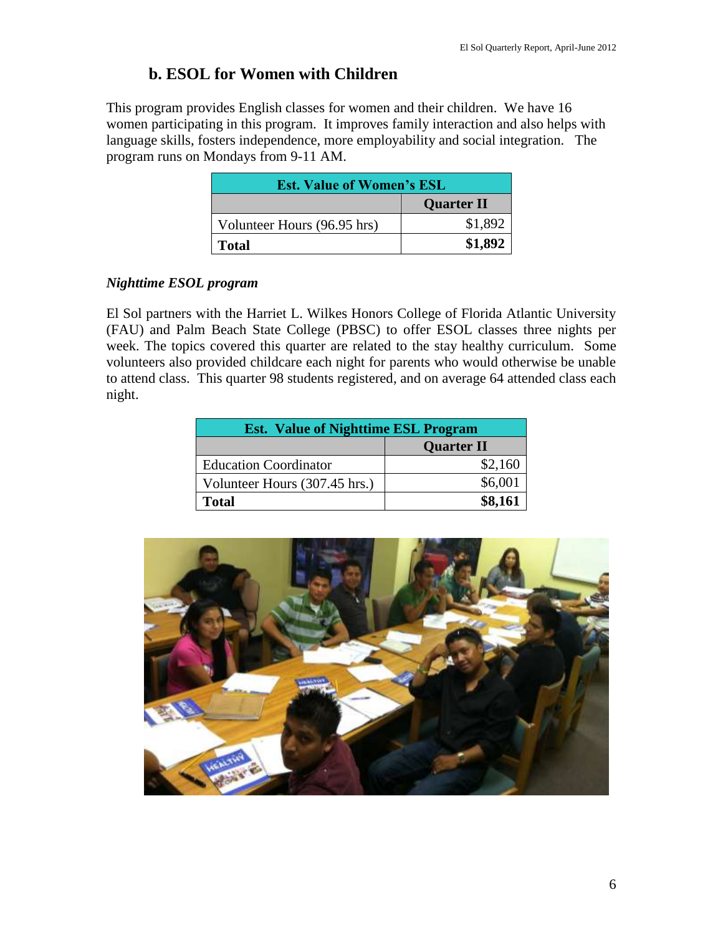#### **b. ESOL for Women with Children**

This program provides English classes for women and their children. We have 16 women participating in this program. It improves family interaction and also helps with language skills, fosters independence, more employability and social integration. The program runs on Mondays from 9-11 AM.

| <b>Est. Value of Women's ESL</b> |                   |  |  |  |
|----------------------------------|-------------------|--|--|--|
|                                  | <b>Quarter II</b> |  |  |  |
| Volunteer Hours (96.95 hrs)      | \$1,892           |  |  |  |
| <b>Total</b>                     | \$1,892           |  |  |  |

#### *Nighttime ESOL program*

El Sol partners with the Harriet L. Wilkes Honors College of Florida Atlantic University (FAU) and Palm Beach State College (PBSC) to offer ESOL classes three nights per week. The topics covered this quarter are related to the stay healthy curriculum. Some volunteers also provided childcare each night for parents who would otherwise be unable to attend class. This quarter 98 students registered, and on average 64 attended class each night.

| <b>Est. Value of Nighttime ESL Program</b> |                   |  |  |  |  |
|--------------------------------------------|-------------------|--|--|--|--|
|                                            | <b>Quarter II</b> |  |  |  |  |
| <b>Education Coordinator</b>               | \$2,160           |  |  |  |  |
| Volunteer Hours (307.45 hrs.)              | \$6,001           |  |  |  |  |
| <b>Total</b>                               | \$8,161           |  |  |  |  |

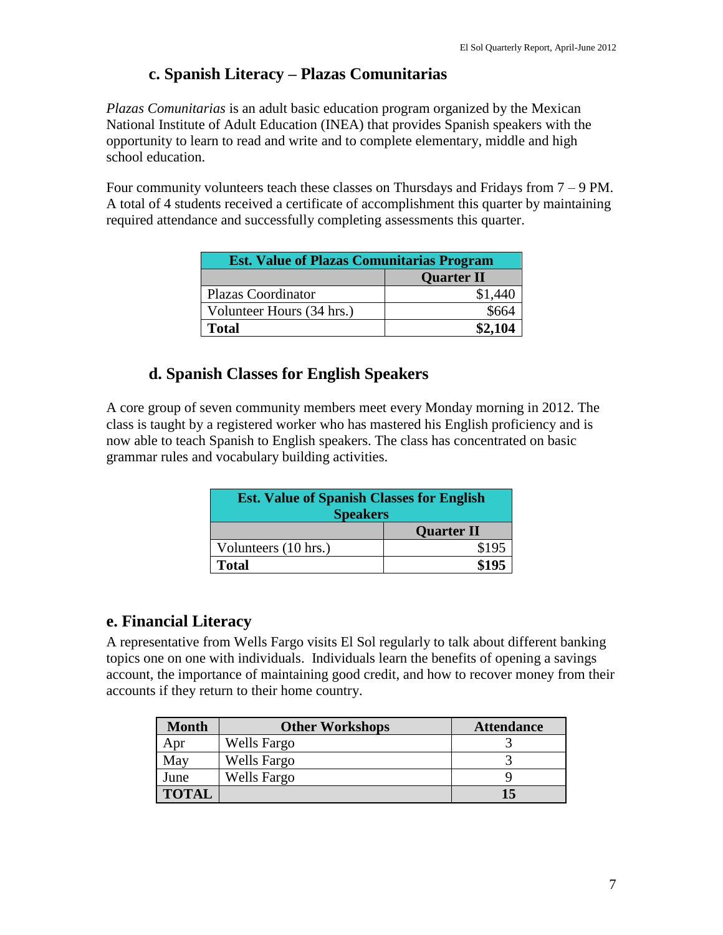#### **c. Spanish Literacy – Plazas Comunitarias**

*Plazas Comunitarias* is an adult basic education program organized by the Mexican National Institute of Adult Education (INEA) that provides Spanish speakers with the opportunity to learn to read and write and to complete elementary, middle and high school education.

Four community volunteers teach these classes on Thursdays and Fridays from  $7 - 9$  PM. A total of 4 students received a certificate of accomplishment this quarter by maintaining required attendance and successfully completing assessments this quarter.

| <b>Est. Value of Plazas Comunitarias Program</b> |                   |  |  |  |
|--------------------------------------------------|-------------------|--|--|--|
|                                                  | <b>Quarter II</b> |  |  |  |
| <b>Plazas Coordinator</b>                        | \$1,440           |  |  |  |
| Volunteer Hours (34 hrs.)                        | \$664             |  |  |  |
| <b>Total</b>                                     | \$2,104           |  |  |  |

### **d. Spanish Classes for English Speakers**

A core group of seven community members meet every Monday morning in 2012. The class is taught by a registered worker who has mastered his English proficiency and is now able to teach Spanish to English speakers. The class has concentrated on basic grammar rules and vocabulary building activities.

| <b>Est. Value of Spanish Classes for English</b><br><b>Speakers</b> |                   |  |  |  |
|---------------------------------------------------------------------|-------------------|--|--|--|
|                                                                     | <b>Quarter II</b> |  |  |  |
| Volunteers (10 hrs.)                                                | \$195             |  |  |  |
| <b>Total</b>                                                        | \$195             |  |  |  |

#### **e. Financial Literacy**

A representative from Wells Fargo visits El Sol regularly to talk about different banking topics one on one with individuals. Individuals learn the benefits of opening a savings account, the importance of maintaining good credit, and how to recover money from their accounts if they return to their home country.

| <b>Month</b> | <b>Other Workshops</b> | <b>Attendance</b> |
|--------------|------------------------|-------------------|
| Apr          | Wells Fargo            |                   |
| May          | <b>Wells Fargo</b>     |                   |
| June         | <b>Wells Fargo</b>     |                   |
| <b>TOTAL</b> |                        | 15                |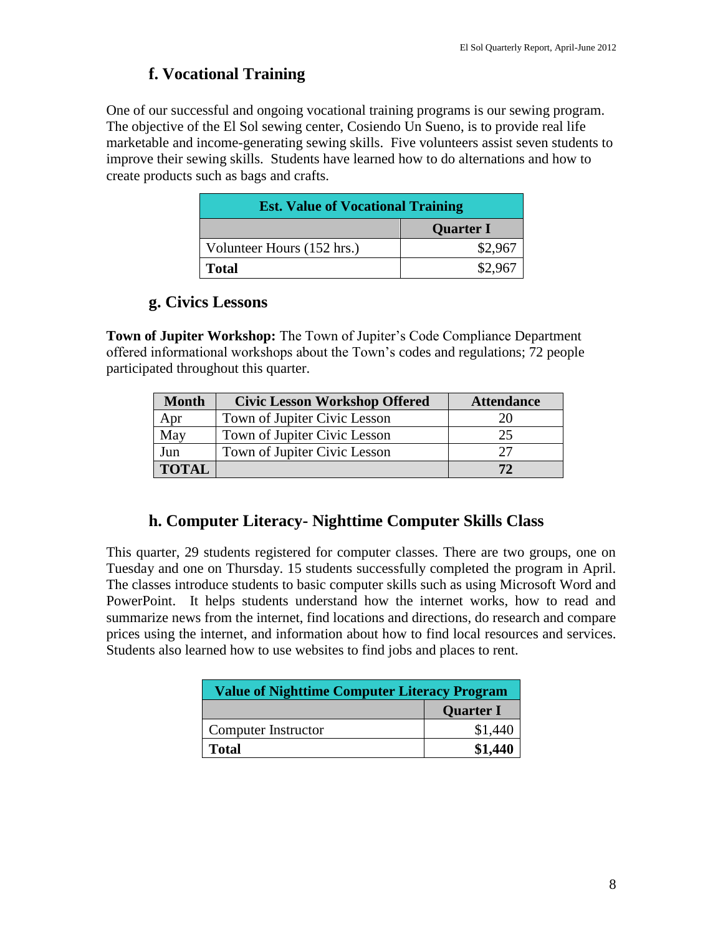#### **f. Vocational Training**

One of our successful and ongoing vocational training programs is our sewing program. The objective of the El Sol sewing center, Cosiendo Un Sueno, is to provide real life marketable and income-generating sewing skills. Five volunteers assist seven students to improve their sewing skills. Students have learned how to do alternations and how to create products such as bags and crafts.

| <b>Est. Value of Vocational Training</b> |                  |  |  |  |
|------------------------------------------|------------------|--|--|--|
|                                          | <b>Quarter I</b> |  |  |  |
| Volunteer Hours (152 hrs.)               | \$2,967          |  |  |  |
| <b>Total</b>                             | \$2,967          |  |  |  |

#### **g. Civics Lessons**

**Town of Jupiter Workshop:** The Town of Jupiter's Code Compliance Department offered informational workshops about the Town's codes and regulations; 72 people participated throughout this quarter.

| <b>Month</b> | <b>Civic Lesson Workshop Offered</b> | <b>Attendance</b> |
|--------------|--------------------------------------|-------------------|
| Apr          | Town of Jupiter Civic Lesson         |                   |
| May          | Town of Jupiter Civic Lesson         | 25                |
| Jun          | Town of Jupiter Civic Lesson         | フフ                |
| <b>TOTAL</b> |                                      | 72                |

### **h. Computer Literacy- Nighttime Computer Skills Class**

This quarter, 29 students registered for computer classes. There are two groups, one on Tuesday and one on Thursday. 15 students successfully completed the program in April. The classes introduce students to basic computer skills such as using Microsoft Word and PowerPoint. It helps students understand how the internet works, how to read and summarize news from the internet, find locations and directions, do research and compare prices using the internet, and information about how to find local resources and services. Students also learned how to use websites to find jobs and places to rent.

| <b>Value of Nighttime Computer Literacy Program</b> |                  |  |  |
|-----------------------------------------------------|------------------|--|--|
|                                                     | <b>Quarter I</b> |  |  |
| Computer Instructor                                 | \$1,440          |  |  |
| Total                                               | \$1,440          |  |  |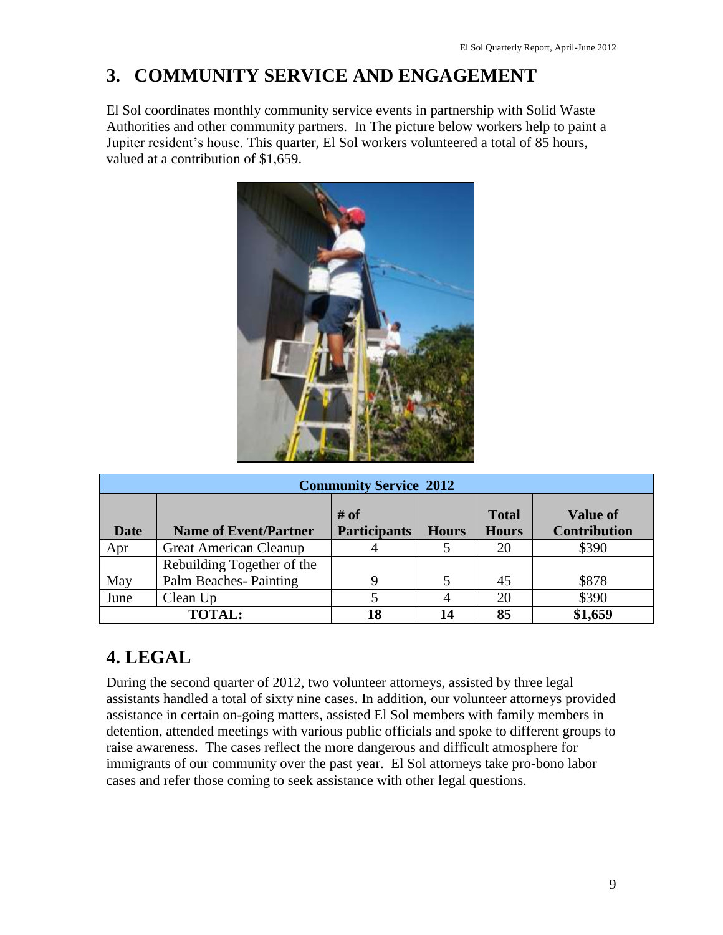## **3. COMMUNITY SERVICE AND ENGAGEMENT**

El Sol coordinates monthly community service events in partnership with Solid Waste Authorities and other community partners. In The picture below workers help to paint a Jupiter resident's house. This quarter, El Sol workers volunteered a total of 85 hours, valued at a contribution of \$1,659.



|                  | <b>Community Service 2012</b> |                             |              |                              |                                        |  |  |  |
|------------------|-------------------------------|-----------------------------|--------------|------------------------------|----------------------------------------|--|--|--|
| Date             | <b>Name of Event/Partner</b>  | # of<br><b>Participants</b> | <b>Hours</b> | <b>Total</b><br><b>Hours</b> | <b>Value of</b><br><b>Contribution</b> |  |  |  |
| Apr              | <b>Great American Cleanup</b> |                             |              | 20                           | \$390                                  |  |  |  |
|                  | Rebuilding Together of the    |                             |              |                              |                                        |  |  |  |
| May              | <b>Palm Beaches-Painting</b>  |                             |              | 45                           | \$878                                  |  |  |  |
| June<br>Clean Up |                               |                             |              | 20                           | \$390                                  |  |  |  |
|                  | <b>TOTAL:</b>                 |                             | 14           | 85                           | \$1,659                                |  |  |  |

## **4. LEGAL**

During the second quarter of 2012, two volunteer attorneys, assisted by three legal assistants handled a total of sixty nine cases. In addition, our volunteer attorneys provided assistance in certain on-going matters, assisted El Sol members with family members in detention, attended meetings with various public officials and spoke to different groups to raise awareness. The cases reflect the more dangerous and difficult atmosphere for immigrants of our community over the past year. El Sol attorneys take pro-bono labor cases and refer those coming to seek assistance with other legal questions.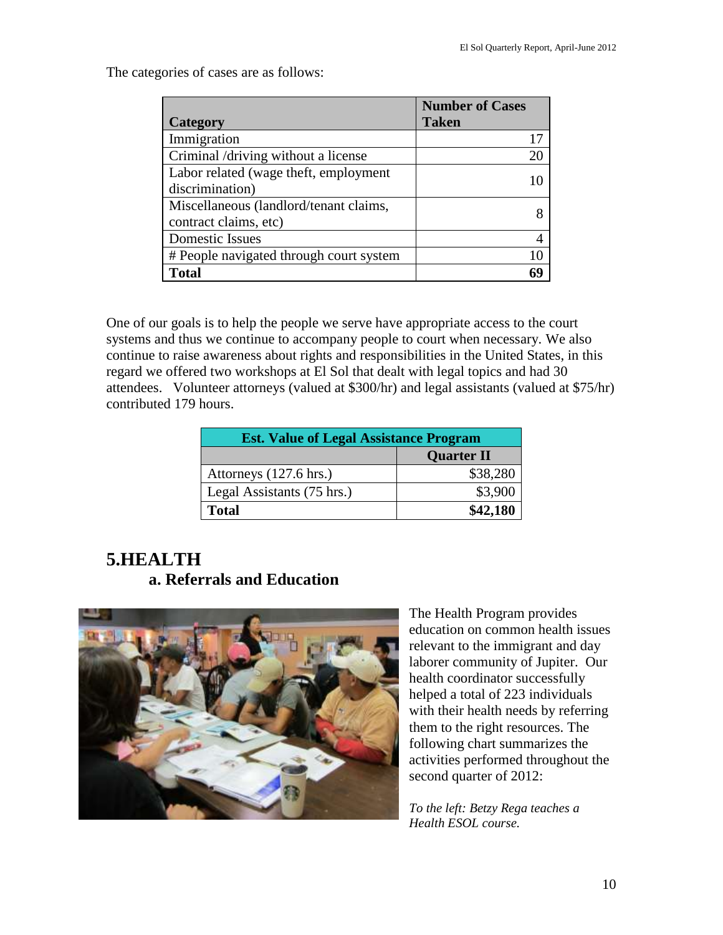The categories of cases are as follows:

|                                         | <b>Number of Cases</b> |
|-----------------------------------------|------------------------|
| Category                                | <b>Taken</b>           |
| Immigration                             | 17                     |
| Criminal /driving without a license     | 20                     |
| Labor related (wage theft, employment   |                        |
| discrimination)                         |                        |
| Miscellaneous (landlord/tenant claims,  |                        |
| contract claims, etc)                   |                        |
| Domestic Issues                         |                        |
| # People navigated through court system | 10                     |
| <b>Total</b>                            |                        |

One of our goals is to help the people we serve have appropriate access to the court systems and thus we continue to accompany people to court when necessary. We also continue to raise awareness about rights and responsibilities in the United States, in this regard we offered two workshops at El Sol that dealt with legal topics and had 30 attendees. Volunteer attorneys (valued at \$300/hr) and legal assistants (valued at \$75/hr) contributed 179 hours.

| <b>Est. Value of Legal Assistance Program</b> |                   |  |  |  |
|-----------------------------------------------|-------------------|--|--|--|
|                                               | <b>Quarter II</b> |  |  |  |
| Attorneys (127.6 hrs.)                        | \$38,280          |  |  |  |
| Legal Assistants (75 hrs.)                    | \$3,900           |  |  |  |
| <b>Total</b>                                  | \$42,180          |  |  |  |

### **5.HEALTH a. Referrals and Education**



The Health Program provides education on common health issues relevant to the immigrant and day laborer community of Jupiter. Our health coordinator successfully helped a total of 223 individuals with their health needs by referring them to the right resources. The following chart summarizes the activities performed throughout the second quarter of 2012:

*To the left: Betzy Rega teaches a Health ESOL course.*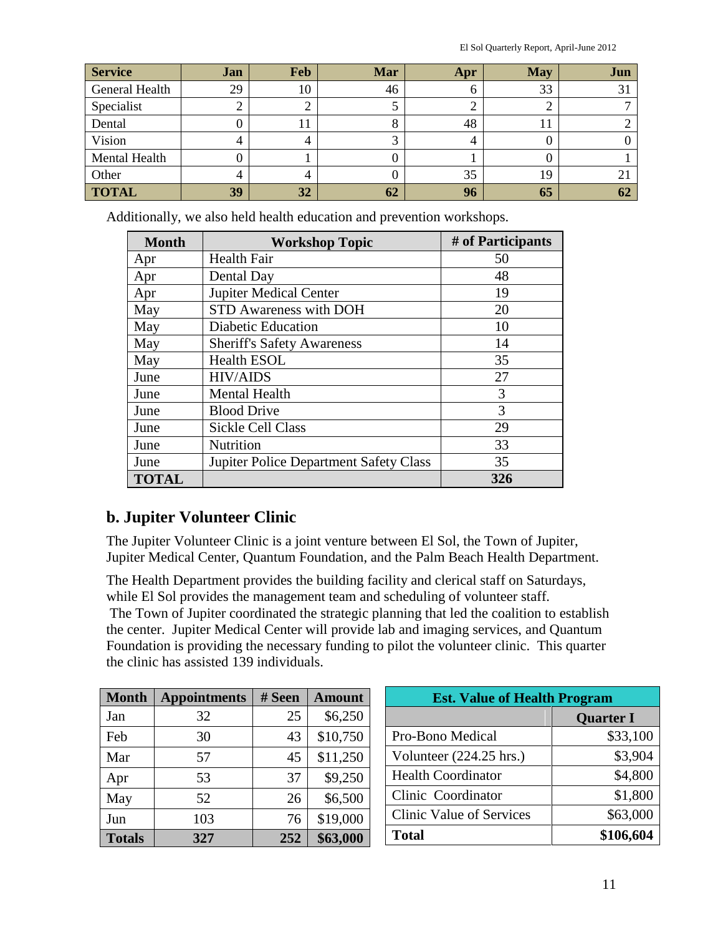El Sol Quarterly Report, April-June 2012

| <b>Service</b> | Jan | Feb | <b>Mar</b> | Apr | <b>May</b> | Jun |
|----------------|-----|-----|------------|-----|------------|-----|
| General Health | 29  | 10  | 46         | O   | 33         | 31  |
| Specialist     |     |     |            |     |            |     |
| Dental         |     |     |            | 48  | 1 I        |     |
| Vision         |     | 4   |            | 4   |            |     |
| Mental Health  |     |     |            |     |            |     |
| Other          |     |     |            | 35  | 19         | 21  |
| <b>TOTAL</b>   | 39  | 32  | 62         | 96  | 65         | 62  |

Additionally, we also held health education and prevention workshops.

| <b>Month</b> | <b>Workshop Topic</b>                               | # of Participants |  |  |
|--------------|-----------------------------------------------------|-------------------|--|--|
| Apr          | <b>Health Fair</b>                                  | 50                |  |  |
| Apr          | Dental Day                                          | 48                |  |  |
| Apr          | <b>Jupiter Medical Center</b>                       | 19                |  |  |
| May          | <b>STD Awareness with DOH</b>                       | 20                |  |  |
| May          | <b>Diabetic Education</b>                           | 10                |  |  |
| May          | <b>Sheriff's Safety Awareness</b>                   | 14                |  |  |
| May          | <b>Health ESOL</b>                                  | 35                |  |  |
| June         | <b>HIV/AIDS</b>                                     | 27                |  |  |
| June         | <b>Mental Health</b>                                | 3                 |  |  |
| June         | <b>Blood Drive</b>                                  | 3                 |  |  |
| June         | Sickle Cell Class                                   | 29                |  |  |
| June         | <b>Nutrition</b>                                    | 33                |  |  |
| June         | <b>Jupiter Police Department Safety Class</b><br>35 |                   |  |  |
| <b>TOTAL</b> |                                                     | 326               |  |  |

### **b. Jupiter Volunteer Clinic**

The Jupiter Volunteer Clinic is a joint venture between El Sol, the Town of Jupiter, Jupiter Medical Center, Quantum Foundation, and the Palm Beach Health Department.

The Health Department provides the building facility and clerical staff on Saturdays, while El Sol provides the management team and scheduling of volunteer staff.

The Town of Jupiter coordinated the strategic planning that led the coalition to establish the center. Jupiter Medical Center will provide lab and imaging services, and Quantum Foundation is providing the necessary funding to pilot the volunteer clinic. This quarter the clinic has assisted 139 individuals.

| <b>Month</b>  | <b>Appointments</b> | # Seen | <b>Amount</b> | <b>Est. Value of Health Program</b> |                  |  |
|---------------|---------------------|--------|---------------|-------------------------------------|------------------|--|
| Jan           | 32                  | 25     | \$6,250       |                                     | <b>Quarter I</b> |  |
| Feb           | 30                  | 43     | \$10,750      | Pro-Bono Medical                    | \$33,100         |  |
| Mar           | 57                  | 45     | \$11,250      | Volunteer $(224.25 \text{ hrs.})$   | \$3,904          |  |
| Apr           | 53                  | 37     | \$9,250       | <b>Health Coordinator</b>           | \$4,800          |  |
| May           | 52                  | 26     | \$6,500       | Clinic Coordinator                  | \$1,800          |  |
| Jun           | 103                 | 76     | \$19,000      | Clinic Value of Services            | \$63,000         |  |
| <b>Totals</b> | 327                 | 252    | \$63,000      | <b>Total</b>                        | \$106,604        |  |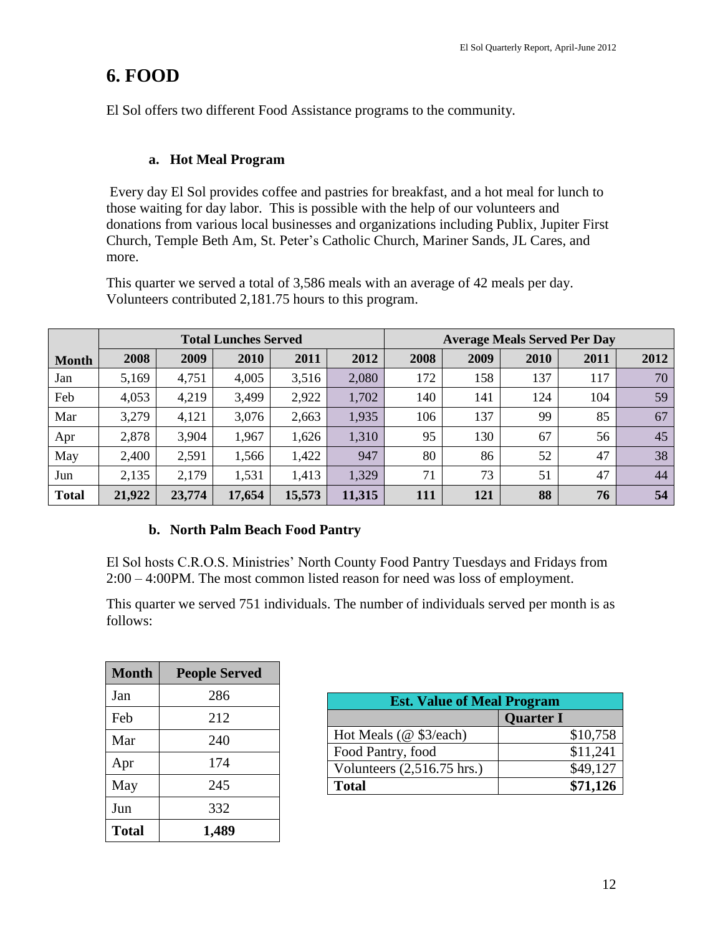## **6. FOOD**

El Sol offers two different Food Assistance programs to the community.

#### **a. Hot Meal Program**

Every day El Sol provides coffee and pastries for breakfast, and a hot meal for lunch to those waiting for day labor. This is possible with the help of our volunteers and donations from various local businesses and organizations including Publix, Jupiter First Church, Temple Beth Am, St. Peter's Catholic Church, Mariner Sands, JL Cares, and more.

This quarter we served a total of 3,586 meals with an average of 42 meals per day. Volunteers contributed 2,181.75 hours to this program.

|              | <b>Total Lunches Served</b> |        |        |        |        |      |      |      | <b>Average Meals Served Per Day</b> |      |
|--------------|-----------------------------|--------|--------|--------|--------|------|------|------|-------------------------------------|------|
| <b>Month</b> | 2008                        | 2009   | 2010   | 2011   | 2012   | 2008 | 2009 | 2010 | 2011                                | 2012 |
| Jan          | 5,169                       | 4,751  | 4,005  | 3,516  | 2,080  | 172  | 158  | 137  | 117                                 | 70   |
| Feb          | 4,053                       | 4,219  | 3,499  | 2,922  | 1,702  | 140  | 141  | 124  | 104                                 | 59   |
| Mar          | 3,279                       | 4,121  | 3,076  | 2,663  | 1,935  | 106  | 137  | 99   | 85                                  | 67   |
| Apr          | 2,878                       | 3,904  | 1,967  | 1,626  | 1,310  | 95   | 130  | 67   | 56                                  | 45   |
| May          | 2,400                       | 2,591  | 1,566  | 1,422  | 947    | 80   | 86   | 52   | 47                                  | 38   |
| Jun          | 2,135                       | 2,179  | 1,531  | 1,413  | 1,329  | 71   | 73   | 51   | 47                                  | 44   |
| <b>Total</b> | 21,922                      | 23,774 | 17,654 | 15,573 | 11,315 | 111  | 121  | 88   | 76                                  | 54   |

#### **b. North Palm Beach Food Pantry**

El Sol hosts C.R.O.S. Ministries' North County Food Pantry Tuesdays and Fridays from 2:00 – 4:00PM. The most common listed reason for need was loss of employment.

This quarter we served 751 individuals. The number of individuals served per month is as follows:

| <b>Month</b> | <b>People Served</b> |
|--------------|----------------------|
| Jan          | 286                  |
| Feb          | 212                  |
| Mar          | 240                  |
| Apr          | 174                  |
| May          | 245                  |
| Jun          | 332                  |
| <b>Total</b> | 1,489                |

| <b>Est. Value of Meal Program</b>    |                  |
|--------------------------------------|------------------|
|                                      | <b>Quarter I</b> |
| Hot Meals (@ \$3/each)               | \$10,758         |
| Food Pantry, food                    | \$11,241         |
| Volunteers $(2,516.75 \text{ hrs.})$ | \$49,127         |
| <b>Total</b>                         | \$71,126         |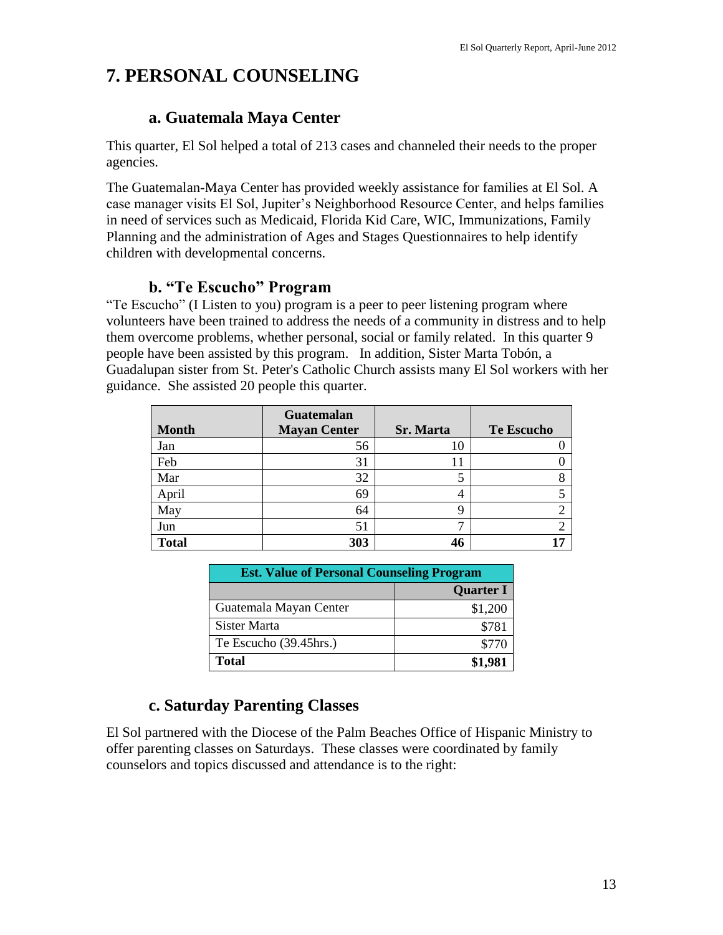## **7. PERSONAL COUNSELING**

#### **a. Guatemala Maya Center**

This quarter, El Sol helped a total of 213 cases and channeled their needs to the proper agencies.

The Guatemalan-Maya Center has provided weekly assistance for families at El Sol. A case manager visits El Sol, Jupiter's Neighborhood Resource Center, and helps families in need of services such as Medicaid, Florida Kid Care, WIC, Immunizations, Family Planning and the administration of Ages and Stages Questionnaires to help identify children with developmental concerns.

### **b. "Te Escucho" Program**

"Te Escucho" (I Listen to you) program is a peer to peer listening program where volunteers have been trained to address the needs of a community in distress and to help them overcome problems, whether personal, social or family related. In this quarter 9 people have been assisted by this program. In addition, Sister Marta Tobón, a Guadalupan sister from St. Peter's Catholic Church assists many El Sol workers with her guidance. She assisted 20 people this quarter.

| <b>Month</b> | Guatemalan<br><b>Mayan Center</b> | <b>Sr. Marta</b> | <b>Te Escucho</b> |
|--------------|-----------------------------------|------------------|-------------------|
| Jan          | 56                                | 10               |                   |
| Feb          | 31                                | 11               |                   |
| Mar          | 32                                |                  |                   |
| April        | 69                                |                  |                   |
| May          | 64                                | Q                |                   |
| Jun          | 51                                |                  |                   |
| <b>Total</b> | 303                               | 46               |                   |

| <b>Est. Value of Personal Counseling Program</b> |                  |
|--------------------------------------------------|------------------|
|                                                  | <b>Quarter I</b> |
| Guatemala Mayan Center                           | \$1,200          |
| Sister Marta                                     | \$781            |
| Te Escucho (39.45hrs.)                           | \$770            |
| <b>Total</b>                                     | \$1,981          |

### **c. Saturday Parenting Classes**

El Sol partnered with the Diocese of the Palm Beaches Office of Hispanic Ministry to offer parenting classes on Saturdays. These classes were coordinated by family counselors and topics discussed and attendance is to the right: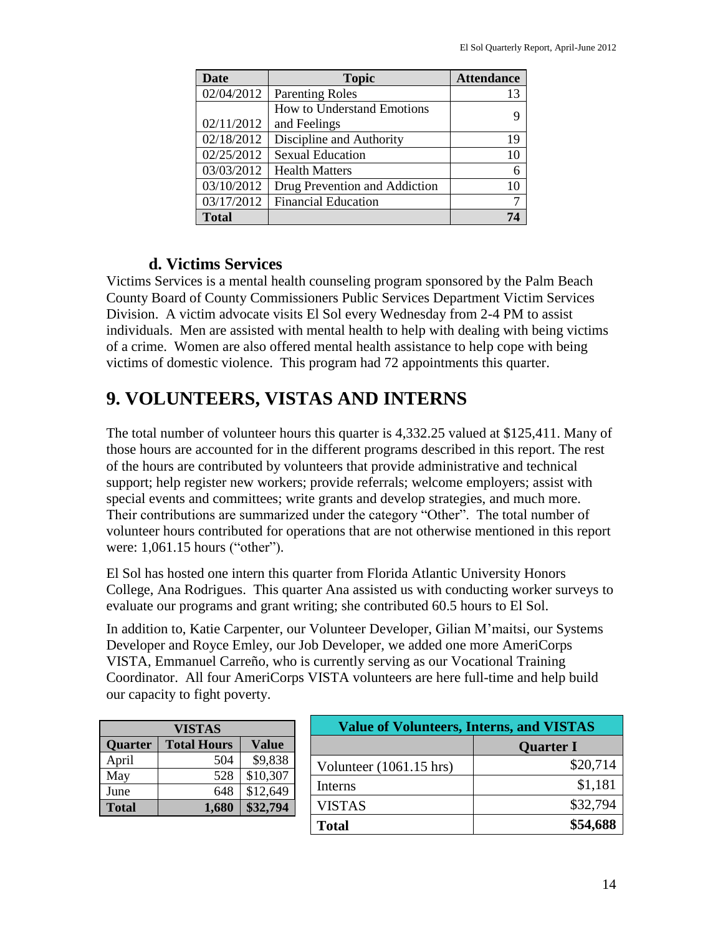| <b>Date</b>  | <b>Topic</b>                  | <b>Attendance</b> |
|--------------|-------------------------------|-------------------|
| 02/04/2012   | <b>Parenting Roles</b>        | 13                |
|              | How to Understand Emotions    |                   |
| 02/11/2012   | and Feelings                  |                   |
| 02/18/2012   | Discipline and Authority      | 19                |
| 02/25/2012   | <b>Sexual Education</b>       | 10                |
| 03/03/2012   | <b>Health Matters</b>         | 6                 |
| 03/10/2012   | Drug Prevention and Addiction | 10                |
| 03/17/2012   | <b>Financial Education</b>    |                   |
| <b>Total</b> |                               | 74                |

#### **d. Victims Services**

Victims Services is a mental health counseling program sponsored by the Palm Beach County Board of County Commissioners Public Services Department Victim Services Division. A victim advocate visits El Sol every Wednesday from 2-4 PM to assist individuals. Men are assisted with mental health to help with dealing with being victims of a crime. Women are also offered mental health assistance to help cope with being victims of domestic violence. This program had 72 appointments this quarter.

## **9. VOLUNTEERS, VISTAS AND INTERNS**

The total number of volunteer hours this quarter is 4,332.25 valued at \$125,411. Many of those hours are accounted for in the different programs described in this report. The rest of the hours are contributed by volunteers that provide administrative and technical support; help register new workers; provide referrals; welcome employers; assist with special events and committees; write grants and develop strategies, and much more. Their contributions are summarized under the category "Other". The total number of volunteer hours contributed for operations that are not otherwise mentioned in this report were: 1,061.15 hours ("other").

El Sol has hosted one intern this quarter from Florida Atlantic University Honors College, Ana Rodrigues. This quarter Ana assisted us with conducting worker surveys to evaluate our programs and grant writing; she contributed 60.5 hours to El Sol.

In addition to, Katie Carpenter, our Volunteer Developer, Gilian M'maitsi, our Systems Developer and Royce Emley, our Job Developer, we added one more AmeriCorps VISTA, Emmanuel Carreño, who is currently serving as our Vocational Training Coordinator. All four AmeriCorps VISTA volunteers are here full-time and help build our capacity to fight poverty.

| VISTAS         |                    |              |  |
|----------------|--------------------|--------------|--|
| <b>Quarter</b> | <b>Total Hours</b> | <b>Value</b> |  |
| April          | 504                | \$9,838      |  |
| May            | 528                | \$10,307     |  |
| June           | 648                | \$12,649     |  |
| <b>Total</b>   | 1,680              | \$32,794     |  |

| <b>Value of Volunteers, Interns, and VISTAS</b> |                  |
|-------------------------------------------------|------------------|
|                                                 | <b>Quarter I</b> |
| Volunteer (1061.15 hrs)                         | \$20,714         |
| Interns                                         | \$1,181          |
| <b>VISTAS</b>                                   | \$32,794         |
| <b>Total</b>                                    | \$54,688         |